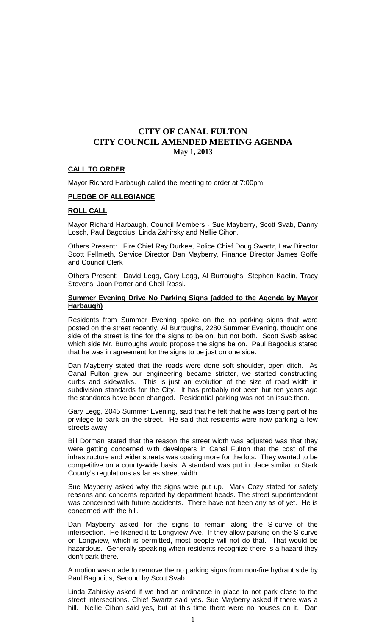### **CALL TO ORDER**

Mayor Richard Harbaugh called the meeting to order at 7:00pm.

### **PLEDGE OF ALLEGIANCE**

### **ROLL CALL**

Mayor Richard Harbaugh, Council Members - Sue Mayberry, Scott Svab, Danny Losch, Paul Bagocius, Linda Zahirsky and Nellie Cihon.

Others Present: Fire Chief Ray Durkee, Police Chief Doug Swartz, Law Director Scott Fellmeth, Service Director Dan Mayberry, Finance Director James Goffe and Council Clerk

Others Present: David Legg, Gary Legg, Al Burroughs, Stephen Kaelin, Tracy Stevens, Joan Porter and Chell Rossi.

### **Summer Evening Drive No Parking Signs (added to the Agenda by Mayor Harbaugh)**

Residents from Summer Evening spoke on the no parking signs that were posted on the street recently. Al Burroughs, 2280 Summer Evening, thought one side of the street is fine for the signs to be on, but not both. Scott Svab asked which side Mr. Burroughs would propose the signs be on. Paul Bagocius stated that he was in agreement for the signs to be just on one side.

Dan Mayberry stated that the roads were done soft shoulder, open ditch. As Canal Fulton grew our engineering became stricter, we started constructing curbs and sidewalks. This is just an evolution of the size of road width in subdivision standards for the City. It has probably not been but ten years ago the standards have been changed. Residential parking was not an issue then.

Gary Legg, 2045 Summer Evening, said that he felt that he was losing part of his privilege to park on the street. He said that residents were now parking a few streets away.

Bill Dorman stated that the reason the street width was adjusted was that they were getting concerned with developers in Canal Fulton that the cost of the infrastructure and wider streets was costing more for the lots. They wanted to be competitive on a county-wide basis. A standard was put in place similar to Stark County's regulations as far as street width.

Sue Mayberry asked why the signs were put up. Mark Cozy stated for safety reasons and concerns reported by department heads. The street superintendent was concerned with future accidents. There have not been any as of yet. He is concerned with the hill.

Dan Mayberry asked for the signs to remain along the S-curve of the intersection. He likened it to Longview Ave. If they allow parking on the S-curve on Longview, which is permitted, most people will not do that. That would be hazardous. Generally speaking when residents recognize there is a hazard they don't park there.

A motion was made to remove the no parking signs from non-fire hydrant side by Paul Bagocius, Second by Scott Svab.

Linda Zahirsky asked if we had an ordinance in place to not park close to the street intersections. Chief Swartz said yes. Sue Mayberry asked if there was a hill. Nellie Cihon said yes, but at this time there were no houses on it. Dan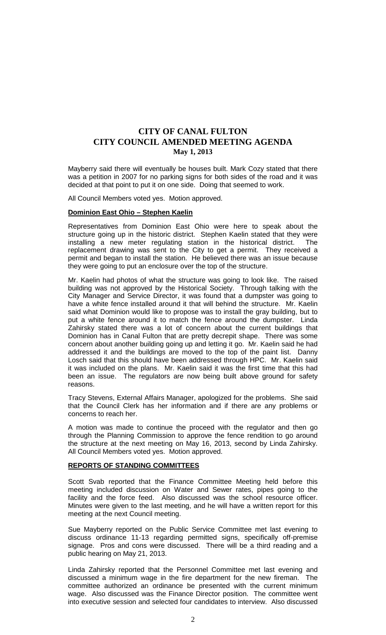Mayberry said there will eventually be houses built. Mark Cozy stated that there was a petition in 2007 for no parking signs for both sides of the road and it was decided at that point to put it on one side. Doing that seemed to work.

All Council Members voted yes. Motion approved.

#### **Dominion East Ohio – Stephen Kaelin**

Representatives from Dominion East Ohio were here to speak about the structure going up in the historic district. Stephen Kaelin stated that they were installing a new meter regulating station in the historical district. The replacement drawing was sent to the City to get a permit. They received a permit and began to install the station. He believed there was an issue because they were going to put an enclosure over the top of the structure.

Mr. Kaelin had photos of what the structure was going to look like. The raised building was not approved by the Historical Society. Through talking with the City Manager and Service Director, it was found that a dumpster was going to have a white fence installed around it that will behind the structure. Mr. Kaelin said what Dominion would like to propose was to install the gray building, but to put a white fence around it to match the fence around the dumpster. Linda Zahirsky stated there was a lot of concern about the current buildings that Dominion has in Canal Fulton that are pretty decrepit shape. There was some concern about another building going up and letting it go. Mr. Kaelin said he had addressed it and the buildings are moved to the top of the paint list. Danny Losch said that this should have been addressed through HPC. Mr. Kaelin said it was included on the plans. Mr. Kaelin said it was the first time that this had been an issue. The regulators are now being built above ground for safety reasons.

Tracy Stevens, External Affairs Manager, apologized for the problems. She said that the Council Clerk has her information and if there are any problems or concerns to reach her.

A motion was made to continue the proceed with the regulator and then go through the Planning Commission to approve the fence rendition to go around the structure at the next meeting on May 16, 2013, second by Linda Zahirsky. All Council Members voted yes. Motion approved.

### **REPORTS OF STANDING COMMITTEES**

Scott Svab reported that the Finance Committee Meeting held before this meeting included discussion on Water and Sewer rates, pipes going to the facility and the force feed. Also discussed was the school resource officer. Minutes were given to the last meeting, and he will have a written report for this meeting at the next Council meeting.

Sue Mayberry reported on the Public Service Committee met last evening to discuss ordinance 11-13 regarding permitted signs, specifically off-premise signage. Pros and cons were discussed. There will be a third reading and a public hearing on May 21, 2013.

Linda Zahirsky reported that the Personnel Committee met last evening and discussed a minimum wage in the fire department for the new fireman. The committee authorized an ordinance be presented with the current minimum wage. Also discussed was the Finance Director position. The committee went into executive session and selected four candidates to interview. Also discussed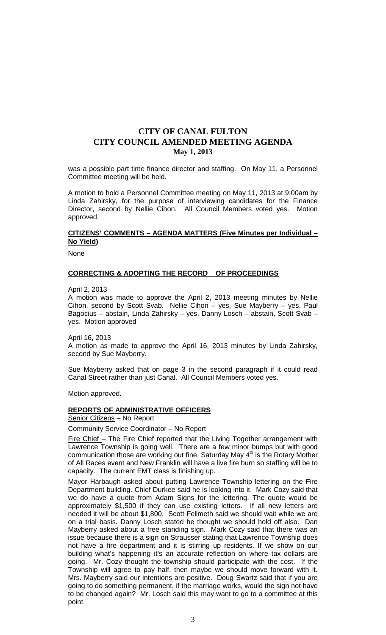was a possible part time finance director and staffing. On May 11, a Personnel Committee meeting will be held.

A motion to hold a Personnel Committee meeting on May 11, 2013 at 9:00am by Linda Zahirsky, for the purpose of interviewing candidates for the Finance Director, second by Nellie Cihon. All Council Members voted yes. Motion approved.

### **CITIZENS' COMMENTS – AGENDA MATTERS (Five Minutes per Individual – No Yield)**

None

#### **CORRECTING & ADOPTING THE RECORD OF PROCEEDINGS**

April 2, 2013

A motion was made to approve the April 2, 2013 meeting minutes by Nellie Cihon, second by Scott Svab. Nellie Cihon – yes, Sue Mayberry – yes, Paul Bagocius – abstain, Linda Zahirsky – yes, Danny Losch – abstain, Scott Svab – yes. Motion approved

April 16, 2013

A motion as made to approve the April 16, 2013 minutes by Linda Zahirsky, second by Sue Mayberry.

Sue Mayberry asked that on page 3 in the second paragraph if it could read Canal Street rather than just Canal. All Council Members voted yes.

Motion approved.

#### **REPORTS OF ADMINISTRATIVE OFFICERS**

Senior Citizens – No Report

Community Service Coordinator – No Report

Fire Chief – The Fire Chief reported that the Living Together arrangement with Lawrence Township is going well. There are a few minor bumps but with good communication those are working out fine. Saturday May  $4<sup>th</sup>$  is the Rotary Mother of All Races event and New Franklin will have a live fire burn so staffing will be to capacity. The current EMT class is finishing up.

Mayor Harbaugh asked about putting Lawrence Township lettering on the Fire Department building. Chief Durkee said he is looking into it. Mark Cozy said that we do have a quote from Adam Signs for the lettering. The quote would be approximately \$1,500 if they can use existing letters. If all new letters are needed it will be about \$1,800. Scott Fellmeth said we should wait while we are on a trial basis. Danny Losch stated he thought we should hold off also. Dan Mayberry asked about a free standing sign. Mark Cozy said that there was an issue because there is a sign on Strausser stating that Lawrence Township does not have a fire department and it is stirring up residents. If we show on our building what's happening it's an accurate reflection on where tax dollars are going. Mr. Cozy thought the township should participate with the cost. If the Township will agree to pay half, then maybe we should move forward with it. Mrs. Mayberry said our intentions are positive. Doug Swartz said that if you are going to do something permanent, if the marriage works, would the sign not have to be changed again? Mr. Losch said this may want to go to a committee at this point.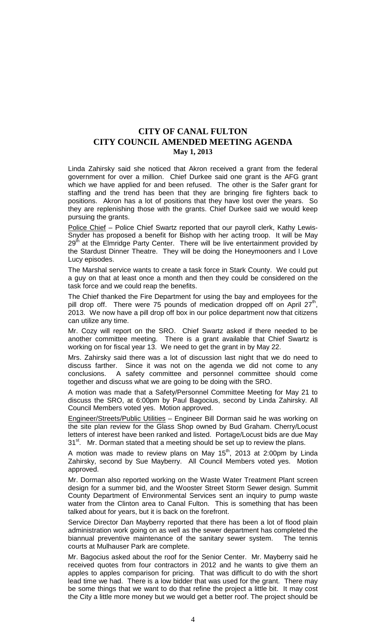Linda Zahirsky said she noticed that Akron received a grant from the federal government for over a million. Chief Durkee said one grant is the AFG grant which we have applied for and been refused. The other is the Safer grant for staffing and the trend has been that they are bringing fire fighters back to positions. Akron has a lot of positions that they have lost over the years. So they are replenishing those with the grants. Chief Durkee said we would keep pursuing the grants.

Police Chief - Police Chief Swartz reported that our payroll clerk, Kathy Lewis-Snyder has proposed a benefit for Bishop with her acting troop. It will be May  $29<sup>th</sup>$  at the Elmridge Party Center. There will be live entertainment provided by the Stardust Dinner Theatre. They will be doing the Honeymooners and I Love Lucy episodes.

The Marshal service wants to create a task force in Stark County. We could put a guy on that at least once a month and then they could be considered on the task force and we could reap the benefits.

The Chief thanked the Fire Department for using the bay and employees for the pill drop off. There were 75 pounds of medication dropped off on April  $27<sup>th</sup>$ 2013. We now have a pill drop off box in our police department now that citizens can utilize any time.

Mr. Cozy will report on the SRO. Chief Swartz asked if there needed to be another committee meeting. There is a grant available that Chief Swartz is working on for fiscal year 13. We need to get the grant in by May 22.

Mrs. Zahirsky said there was a lot of discussion last night that we do need to discuss farther. Since it was not on the agenda we did not come to any conclusions. A safety committee and personnel committee should come together and discuss what we are going to be doing with the SRO.

A motion was made that a Safety/Personnel Committee Meeting for May 21 to discuss the SRO, at 6:00pm by Paul Bagocius, second by Linda Zahirsky. All Council Members voted yes. Motion approved.

Engineer/Streets/Public Utilities – Engineer Bill Dorman said he was working on the site plan review for the Glass Shop owned by Bud Graham. Cherry/Locust letters of interest have been ranked and listed. Portage/Locust bids are due May  $31<sup>st</sup>$ . Mr. Dorman stated that a meeting should be set up to review the plans.

A motion was made to review plans on May  $15<sup>th</sup>$ , 2013 at 2:00pm by Linda Zahirsky, second by Sue Mayberry. All Council Members voted yes. Motion approved.

Mr. Dorman also reported working on the Waste Water Treatment Plant screen design for a summer bid, and the Wooster Street Storm Sewer design. Summit County Department of Environmental Services sent an inquiry to pump waste water from the Clinton area to Canal Fulton. This is something that has been talked about for years, but it is back on the forefront.

Service Director Dan Mayberry reported that there has been a lot of flood plain administration work going on as well as the sewer department has completed the biannual preventive maintenance of the sanitary sewer system. The tennis courts at Mulhauser Park are complete.

Mr. Bagocius asked about the roof for the Senior Center. Mr. Mayberry said he received quotes from four contractors in 2012 and he wants to give them an apples to apples comparison for pricing. That was difficult to do with the short lead time we had. There is a low bidder that was used for the grant. There may be some things that we want to do that refine the project a little bit. It may cost the City a little more money but we would get a better roof. The project should be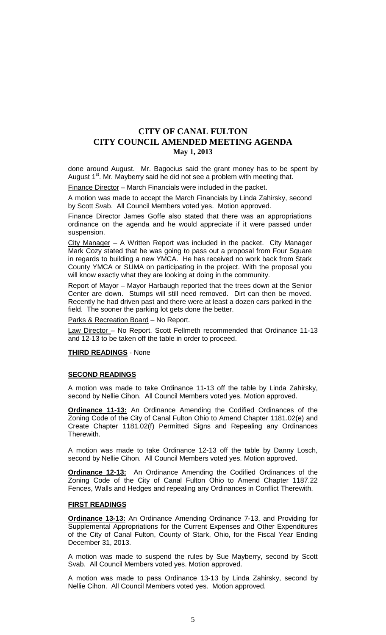done around August. Mr. Bagocius said the grant money has to be spent by August 1<sup>st</sup>. Mr. Mayberry said he did not see a problem with meeting that.

Finance Director - March Financials were included in the packet.

A motion was made to accept the March Financials by Linda Zahirsky, second by Scott Svab. All Council Members voted yes. Motion approved.

Finance Director James Goffe also stated that there was an appropriations ordinance on the agenda and he would appreciate if it were passed under suspension.

City Manager – A Written Report was included in the packet. City Manager Mark Cozy stated that he was going to pass out a proposal from Four Square in regards to building a new YMCA. He has received no work back from Stark County YMCA or SUMA on participating in the project. With the proposal you will know exactly what they are looking at doing in the community.

Report of Mayor – Mayor Harbaugh reported that the trees down at the Senior Center are down. Stumps will still need removed. Dirt can then be moved. Recently he had driven past and there were at least a dozen cars parked in the field. The sooner the parking lot gets done the better.

Parks & Recreation Board - No Report.

Law Director - No Report. Scott Fellmeth recommended that Ordinance 11-13 and 12-13 to be taken off the table in order to proceed.

**THIRD READINGS** - None

#### **SECOND READINGS**

A motion was made to take Ordinance 11-13 off the table by Linda Zahirsky, second by Nellie Cihon. All Council Members voted yes. Motion approved.

**Ordinance 11-13:** An Ordinance Amending the Codified Ordinances of the Zoning Code of the City of Canal Fulton Ohio to Amend Chapter 1181.02(e) and Create Chapter 1181.02(f) Permitted Signs and Repealing any Ordinances Therewith.

A motion was made to take Ordinance 12-13 off the table by Danny Losch, second by Nellie Cihon. All Council Members voted yes. Motion approved.

**Ordinance 12-13:** An Ordinance Amending the Codified Ordinances of the Zoning Code of the City of Canal Fulton Ohio to Amend Chapter 1187.22 Fences, Walls and Hedges and repealing any Ordinances in Conflict Therewith.

### **FIRST READINGS**

**Ordinance 13-13:** An Ordinance Amending Ordinance 7-13, and Providing for Supplemental Appropriations for the Current Expenses and Other Expenditures of the City of Canal Fulton, County of Stark, Ohio, for the Fiscal Year Ending December 31, 2013.

A motion was made to suspend the rules by Sue Mayberry, second by Scott Svab. All Council Members voted yes. Motion approved.

A motion was made to pass Ordinance 13-13 by Linda Zahirsky, second by Nellie Cihon. All Council Members voted yes. Motion approved.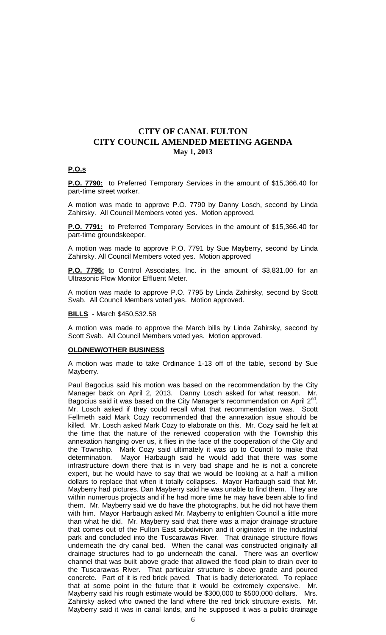#### **P.O.s**

**P.O. 7790:** to Preferred Temporary Services in the amount of \$15,366.40 for part-time street worker.

A motion was made to approve P.O. 7790 by Danny Losch, second by Linda Zahirsky. All Council Members voted yes. Motion approved.

**P.O. 7791:** to Preferred Temporary Services in the amount of \$15,366.40 for part-time groundskeeper.

A motion was made to approve P.O. 7791 by Sue Mayberry, second by Linda Zahirsky. All Council Members voted yes. Motion approved

**P.O. 7795:** to Control Associates, Inc. in the amount of \$3,831.00 for an Ultrasonic Flow Monitor Effluent Meter.

A motion was made to approve P.O. 7795 by Linda Zahirsky, second by Scott Svab. All Council Members voted yes. Motion approved.

### **BILLS** - March \$450,532.58

A motion was made to approve the March bills by Linda Zahirsky, second by Scott Svab. All Council Members voted yes. Motion approved.

#### **OLD/NEW/OTHER BUSINESS**

A motion was made to take Ordinance 1-13 off of the table, second by Sue Mayberry.

Paul Bagocius said his motion was based on the recommendation by the City Manager back on April 2, 2013. Danny Losch asked for what reason. Mr. Bagocius said it was based on the City Manager's recommendation on April  $2^{nd}$ . Mr. Losch asked if they could recall what that recommendation was. Scott Fellmeth said Mark Cozy recommended that the annexation issue should be killed. Mr. Losch asked Mark Cozy to elaborate on this. Mr. Cozy said he felt at the time that the nature of the renewed cooperation with the Township this annexation hanging over us, it flies in the face of the cooperation of the City and the Township. Mark Cozy said ultimately it was up to Council to make that determination. Mayor Harbaugh said he would add that there was some infrastructure down there that is in very bad shape and he is not a concrete expert, but he would have to say that we would be looking at a half a million dollars to replace that when it totally collapses. Mayor Harbaugh said that Mr. Mayberry had pictures. Dan Mayberry said he was unable to find them. They are within numerous projects and if he had more time he may have been able to find them. Mr. Mayberry said we do have the photographs, but he did not have them with him. Mayor Harbaugh asked Mr. Mayberry to enlighten Council a little more than what he did. Mr. Mayberry said that there was a major drainage structure that comes out of the Fulton East subdivision and it originates in the industrial park and concluded into the Tuscarawas River. That drainage structure flows underneath the dry canal bed. When the canal was constructed originally all drainage structures had to go underneath the canal. There was an overflow channel that was built above grade that allowed the flood plain to drain over to the Tuscarawas River. That particular structure is above grade and poured concrete. Part of it is red brick paved. That is badly deteriorated. To replace that at some point in the future that it would be extremely expensive. Mr. Mayberry said his rough estimate would be \$300,000 to \$500,000 dollars. Mrs. Zahirsky asked who owned the land where the red brick structure exists. Mr. Mayberry said it was in canal lands, and he supposed it was a public drainage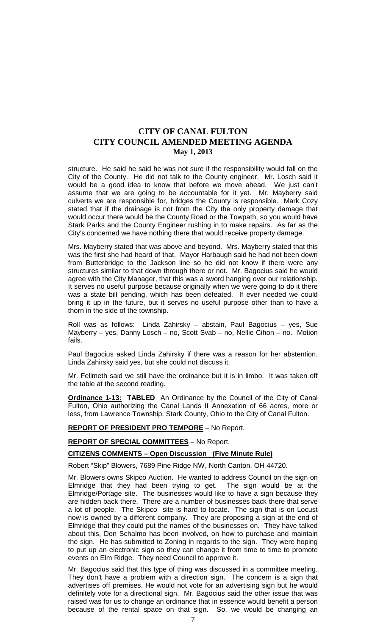structure. He said he said he was not sure if the responsibility would fall on the City of the County. He did not talk to the County engineer. Mr. Losch said it would be a good idea to know that before we move ahead. We just can't assume that we are going to be accountable for it yet. Mr. Mayberry said culverts we are responsible for, bridges the County is responsible. Mark Cozy stated that if the drainage is not from the City the only property damage that would occur there would be the County Road or the Towpath, so you would have Stark Parks and the County Engineer rushing in to make repairs. As far as the City's concerned we have nothing there that would receive property damage.

Mrs. Mayberry stated that was above and beyond. Mrs. Mayberry stated that this was the first she had heard of that. Mayor Harbaugh said he had not been down from Butterbridge to the Jackson line so he did not know if there were any structures similar to that down through there or not. Mr. Bagocius said he would agree with the City Manager, that this was a sword hanging over our relationship. It serves no useful purpose because originally when we were going to do it there was a state bill pending, which has been defeated. If ever needed we could bring it up in the future, but it serves no useful purpose other than to have a thorn in the side of the township.

Roll was as follows: Linda Zahirsky – abstain, Paul Bagocius – yes, Sue Mayberry – yes, Danny Losch – no, Scott Svab – no, Nellie Cihon – no. Motion fails.

Paul Bagocius asked Linda Zahirsky if there was a reason for her abstention. Linda Zahirsky said yes, but she could not discuss it.

Mr. Fellmeth said we still have the ordinance but it is in limbo. It was taken off the table at the second reading.

**Ordinance 1-13: TABLED** An Ordinance by the Council of the City of Canal Fulton, Ohio authorizing the Canal Lands II Annexation of 66 acres, more or less, from Lawrence Township, Stark County, Ohio to the City of Canal Fulton.

### **REPORT OF PRESIDENT PRO TEMPORE** – No Report.

#### **REPORT OF SPECIAL COMMITTEES** – No Report.

### **CITIZENS COMMENTS – Open Discussion (Five Minute Rule)**

Robert "Skip" Blowers, 7689 Pine Ridge NW, North Canton, OH 44720.

Mr. Blowers owns Skipco Auction. He wanted to address Council on the sign on Elmridge that they had been trying to get. The sign would be at the Elmridge/Portage site. The businesses would like to have a sign because they are hidden back there. There are a number of businesses back there that serve a lot of people. The Skipco site is hard to locate. The sign that is on Locust now is owned by a different company. They are proposing a sign at the end of Elmridge that they could put the names of the businesses on. They have talked about this, Don Schalmo has been involved, on how to purchase and maintain the sign. He has submitted to Zoning in regards to the sign. They were hoping to put up an electronic sign so they can change it from time to time to promote events on Elm Ridge. They need Council to approve it.

Mr. Bagocius said that this type of thing was discussed in a committee meeting. They don't have a problem with a direction sign. The concern is a sign that advertises off premises. He would not vote for an advertising sign but he would definitely vote for a directional sign. Mr. Bagocius said the other issue that was raised was for us to change an ordinance that in essence would benefit a person because of the rental space on that sign. So, we would be changing an